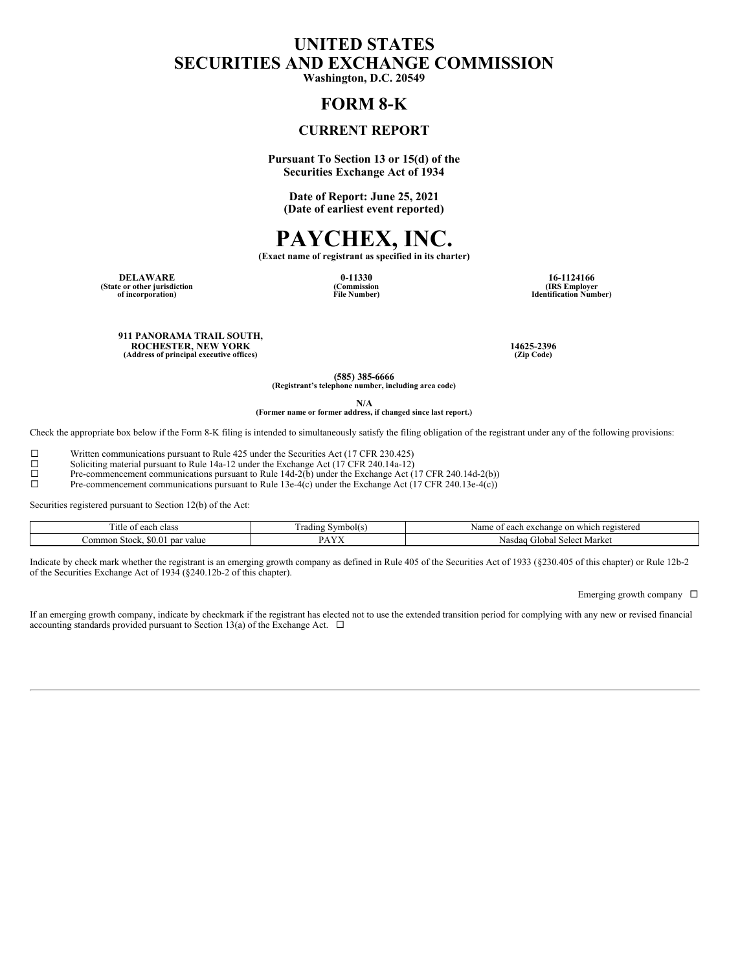# **UNITED STATES SECURITIES AND EXCHANGE COMMISSION**

**Washington, D.C. 20549**

# **FORM 8-K**

## **CURRENT REPORT**

**Pursuant To Section 13 or 15(d) of the Securities Exchange Act of 1934**

**Date of Report: June 25, 2021 (Date of earliest event reported)**

# **PAYCHEX, INC.**

**(Exact name of registrant as specified in its charter)**

**DELAWARE 0-11330 16-1124166 (State or other jurisdiction of incorporation)**

**(Commission File Number)**

**(IRS Employer Identification Number)**

**911 PANORAMA TRAIL SOUTH, ROCHESTER, NEW YORK 14625-2396**  $(Address of principal executive offices)$ 

**(585) 385-6666**

**(Registrant's telephone number, including area code)**

**N/A (Former name or former address, if changed since last report.)**

Check the appropriate box below if the Form 8-K filing is intended to simultaneously satisfy the filing obligation of the registrant under any of the following provisions:

 $□$  Written communications pursuant to Rule 425 under the Securities Act (17 CFR 230.425)<br>
Soliciting material pursuant to Rule 14a-12 under the Exchange Act (17 CFR 240.14a-12)

□ Soliciting material pursuant to Rule 14a-12 under the Exchange Act (17 CFR 240.14a-12) <br>
Pre-commencement communications pursuant to Rule 14d-2(b) under the Exchange Act (1

□ Pre-commencement communications pursuant to Rule 14d-2( $\bar{b}$ ) under the Exchange Act (17 CFR 240.14d-2(b))  $\Box$  Pre-commencement communications pursuant to Rule 13e-4(c) under the Exchange Act (17 CFR 240.13e-4(c))

Pre-commencement communications pursuant to Rule 13e-4(c) under the Exchange Act (17 CFR 240.13e-4(c))

Securities registered pursuant to Section 12(b) of the Act:

| --<br>l'itle of<br>: each class   | rading<br>Symbol(s) | each exchange<br>e on which registered<br>Nam⊾<br>0T |
|-----------------------------------|---------------------|------------------------------------------------------|
| `ommon Stock, \$0.01<br>par value | $ -$                | Nasdag<br>Select Market<br>  Global                  |

Indicate by check mark whether the registrant is an emerging growth company as defined in Rule 405 of the Securities Act of 1933 (§230.405 of this chapter) or Rule 12b-2 of the Securities Exchange Act of 1934 (§240.12b-2 of this chapter).

Emerging growth company  $\square$ 

If an emerging growth company, indicate by checkmark if the registrant has elected not to use the extended transition period for complying with any new or revised financial accounting standards provided pursuant to Section 13(a) of the Exchange Act.  $\Box$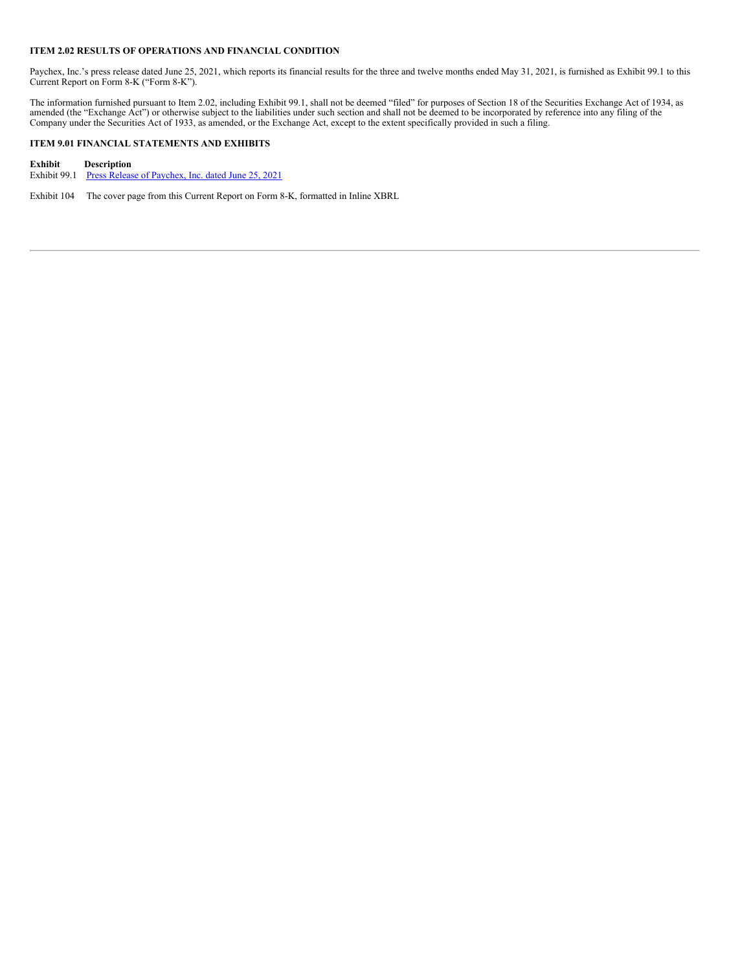#### **ITEM 2.02 RESULTS OF OPERATIONS AND FINANCIAL CONDITION**

Paychex, Inc.'s press release dated June 25, 2021, which reports its financial results for the three and twelve months ended May 31, 2021, is furnished as Exhibit 99.1 to this Current Report on Form 8-K ("Form 8-K").

The information furnished pursuant to Item 2.02, including Exhibit 99.1, shall not be deemed "filed" for purposes of Section 18 of the Securities Exchange Act of 1934, as amended (the "Exchange Act") or otherwise subject to the liabilities under such section and shall not be deemed to be incorporated by reference into any filing of the Company under the Securities Act of 1933, as amended, or the Exchange Act, except to the extent specifically provided in such a filing.

#### **ITEM 9.01 FINANCIAL STATEMENTS AND EXHIBITS**

**Exhibit Description**

Exhibit 99.1 Press Release of [Paychex,](#page-7-0) Inc. dated June 25, 2021

Exhibit 104 The cover page from this Current Report on Form 8-K, formatted in Inline XBRL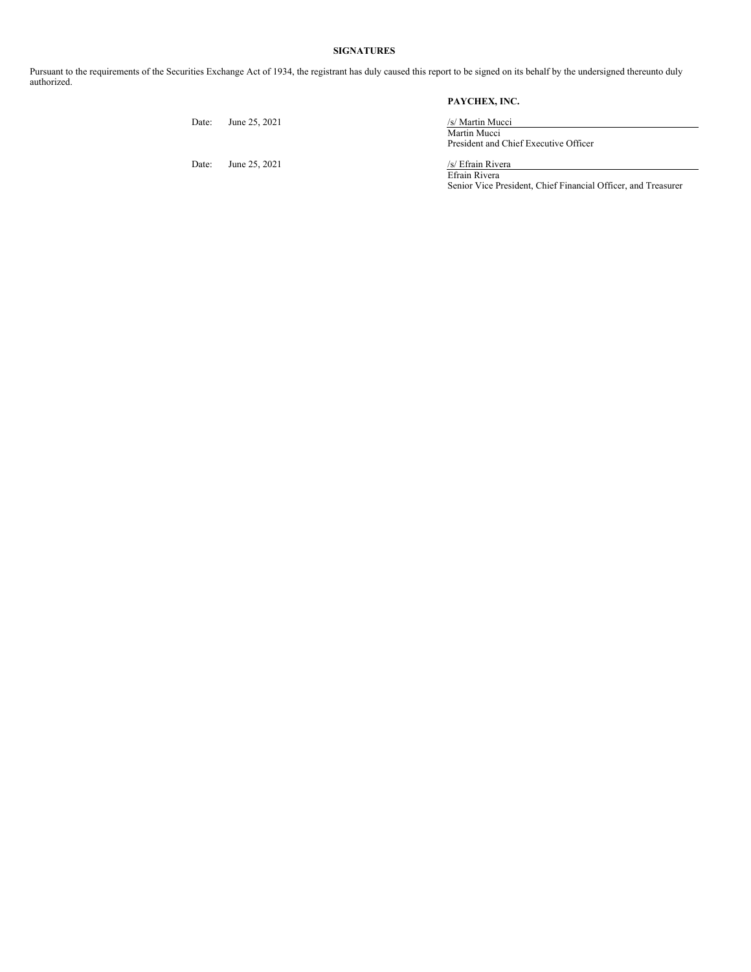#### **SIGNATURES**

Pursuant to the requirements of the Securities Exchange Act of 1934, the registrant has duly caused this report to be signed on its behalf by the undersigned thereunto duly authorized.

|       |               | PAYCHEX, INC.    |
|-------|---------------|------------------|
| Date: | June 25, 2021 | /s/ Martin Mucci |

Martin Mucci President and Chief Executive Officer Date: June 25, 2021 /s/ Efrain Rivera Efrain Rivera

Senior Vice President, Chief Financial Officer, and Treasurer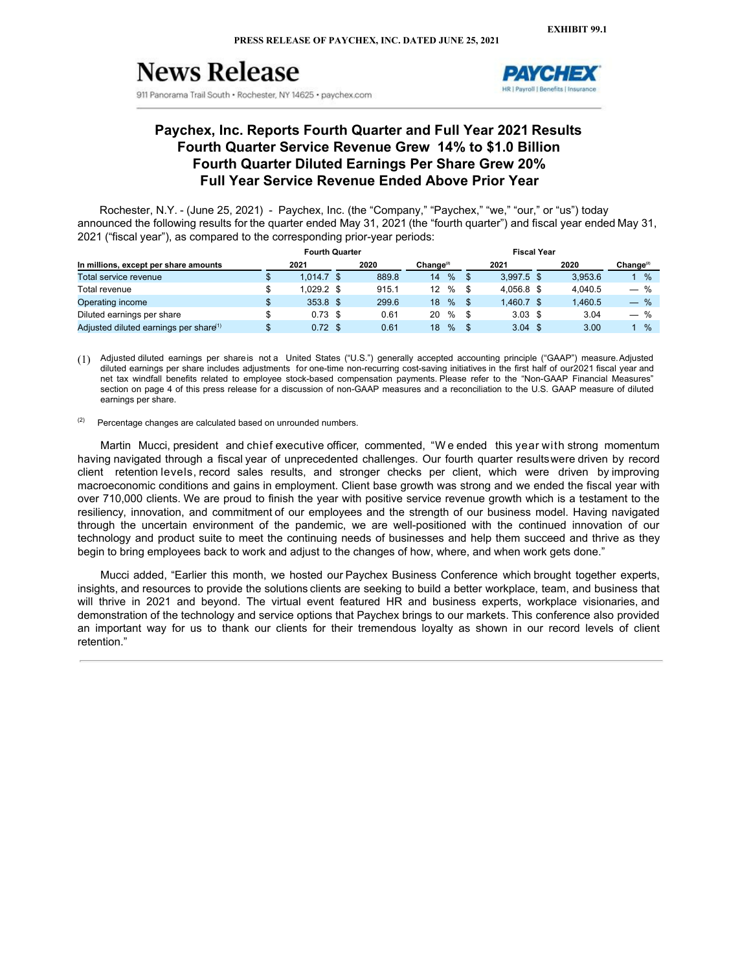# **News Release**

911 Panorama Trail South · Rochester, NY 14625 · paychex.com



**EXHIBIT 99.1**

# **Paychex, Inc. Reports Fourth Quarter and Full Year 2021 Results Fourth Quarter Service Revenue Grew 14% to \$1.0 Billion Fourth Quarter Diluted Earnings Per Share Grew 20% Full Year Service Revenue Ended Above Prior Year**

Rochester, N.Y. - (June 25, 2021) - Paychex, Inc. (the "Company," "Paychex," "we," "our," or "us") today announced the following results for the quarter ended May 31, 2021 (the "fourth quarter") and fiscal year ended May 31, 2021 ("fiscal year"), as compared to the corresponding prior-year periods:

|                                                    | <b>Fourth Quarter</b> |  |       |                 |      | <b>Fiscal Year</b> |                   |  |         |                       |  |  |  |
|----------------------------------------------------|-----------------------|--|-------|-----------------|------|--------------------|-------------------|--|---------|-----------------------|--|--|--|
| In millions, except per share amounts              | 2021                  |  | 2020  | $Change^{(2)}$  |      |                    | 2021              |  | 2020    | Change <sup>(2)</sup> |  |  |  |
| Total service revenue                              | $1.014.7$ \$          |  | 889.8 | 14              | %    |                    | $3.997.5$ \$      |  | 3.953.6 | $\%$                  |  |  |  |
| Total revenue                                      | 1.029.2 \$            |  | 915.1 | 12              | %    |                    | 4.056.8 \$        |  | 4.040.5 | $-$ %                 |  |  |  |
| Operating income                                   | \$<br>$353.8$ \$      |  | 299.6 | 18              | $\%$ |                    | 1.460.7 \$        |  | l.460.5 | $-$ %                 |  |  |  |
| Diluted earnings per share                         | $0.73$ \$             |  | 0.61  | 20              | %    |                    | $3.03$ \$         |  | 3.04    | $-$ %                 |  |  |  |
| Adjusted diluted earnings per share <sup>(1)</sup> | $0.72 \text{ } $$     |  | 0.61  | 18 <sup>°</sup> | $\%$ |                    | $3.04 \text{ } $$ |  | 3.00    | $\%$                  |  |  |  |

(1) Adjusted diluted earnings per shareis not a United States ("U.S.") generally accepted accounting principle ("GAAP") measure.Adjusted diluted earnings per share includes adjustments for one-time non-recurring cost-saving initiatives in the first half of our2021 fiscal year and net tax windfall benefits related to employee stock-based compensation payments. Please refer to the "Non-GAAP Financial Measures" section on page 4 of this press release for a discussion of non-GAAP measures and a reconciliation to the U.S. GAAP measure of diluted earnings per share.

#### $(2)$  Percentage changes are calculated based on unrounded numbers.

Martin Mucci, president and chief executive officer, commented, "W e ended this year with strong momentum having navigated through a fiscal year of unprecedented challenges. Our fourth quarter resultswere driven by record client retention levels, record sales results, and stronger checks per client, which were driven by improving macroeconomic conditions and gains in employment. Client base growth was strong and we ended the fiscal year with over 710,000 clients. We are proud to finish the year with positive service revenue growth which is a testament to the resiliency, innovation, and commitment of our employees and the strength of our business model. Having navigated through the uncertain environment of the pandemic, we are well-positioned with the continued innovation of our technology and product suite to meet the continuing needs of businesses and help them succeed and thrive as they begin to bring employees back to work and adjust to the changes of how, where, and when work gets done."

Mucci added, "Earlier this month, we hosted our Paychex Business Conference which brought together experts, insights, and resources to provide the solutions clients are seeking to build a better workplace, team, and business that will thrive in 2021 and beyond. The virtual event featured HR and business experts, workplace visionaries, and demonstration of the technology and service options that Paychex brings to our markets. This conference also provided an important way for us to thank our clients for their tremendous loyalty as shown in our record levels of client retention."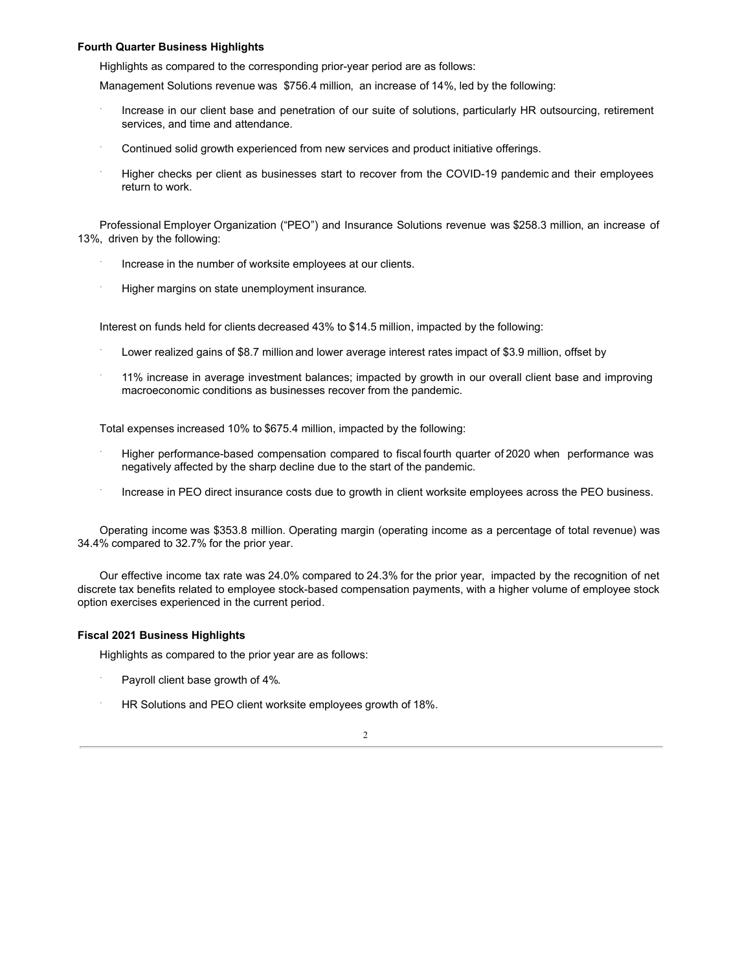## **Fourth Quarter Business Highlights**

Highlights as compared to the corresponding prior-year period are as follows:

Management Solutions revenue was \$756.4 million, an increase of 14%, led by the following:

- Increase in our client base and penetration of our suite of solutions, particularly HR outsourcing, retirement services, and time and attendance.
- Continued solid growth experienced from new services and product initiative offerings.
- · Higher checks per client as businesses start to recover from the COVID-19 pandemic and their employees return to work.

Professional Employer Organization ("PEO") and Insurance Solutions revenue was \$258.3 million, an increase of 13%, driven by the following:

- Increase in the number of worksite employees at our clients.
- Higher margins on state unemployment insurance.

Interest on funds held for clients decreased 43% to \$14.5 million, impacted by the following:

- Lower realized gains of \$8.7 million and lower average interest rates impact of \$3.9 million, offset by
- 11% increase in average investment balances; impacted by growth in our overall client base and improving macroeconomic conditions as businesses recover from the pandemic.

Total expenses increased 10% to \$675.4 million, impacted by the following:

- · Higher performance-based compensation compared to fiscal fourth quarter of 2020 when performance was negatively affected by the sharp decline due to the start of the pandemic.
- · Increase in PEO direct insurance costs due to growth in client worksite employees across the PEO business.

Operating income was \$353.8 million. Operating margin (operating income as a percentage of total revenue) was 34.4% compared to 32.7% for the prior year.

Our effective income tax rate was 24.0% compared to 24.3% for the prior year, impacted by the recognition of net discrete tax benefits related to employee stock-based compensation payments, with a higher volume of employee stock option exercises experienced in the current period.

## **Fiscal 2021 Business Highlights**

Highlights as compared to the prior year are as follows:

- Payroll client base growth of 4%.
- · HR Solutions and PEO client worksite employees growth of 18%.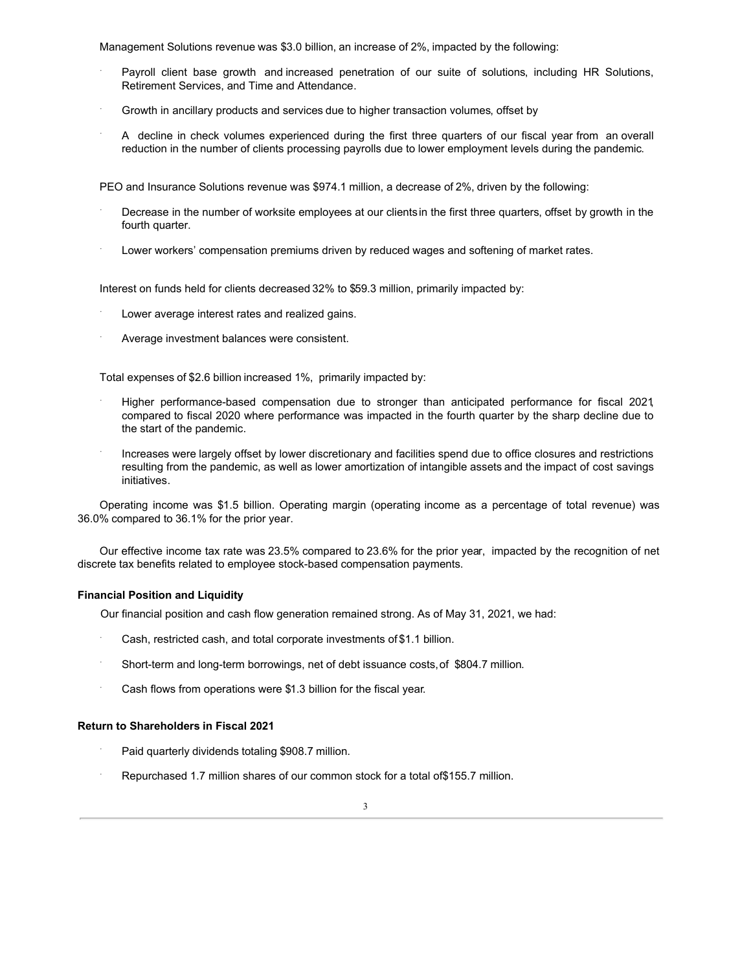Management Solutions revenue was \$3.0 billion, an increase of 2%, impacted by the following:

- Payroll client base growth and increased penetration of our suite of solutions, including HR Solutions, Retirement Services, and Time and Attendance.
- Growth in ancillary products and services due to higher transaction volumes, offset by
- · A decline in check volumes experienced during the first three quarters of our fiscal year from an overall reduction in the number of clients processing payrolls due to lower employment levels during the pandemic.

PEO and Insurance Solutions revenue was \$974.1 million, a decrease of 2%, driven by the following:

- Decrease in the number of worksite employees at our clients in the first three quarters, offset by growth in the fourth quarter.
- Lower workers' compensation premiums driven by reduced wages and softening of market rates.

Interest on funds held for clients decreased 32% to \$59.3 million, primarily impacted by:

- Lower average interest rates and realized gains.
- Average investment balances were consistent.

Total expenses of \$2.6 billion increased 1%, primarily impacted by:

- · Higher performance-based compensation due to stronger than anticipated performance for fiscal 2021, compared to fiscal 2020 where performance was impacted in the fourth quarter by the sharp decline due to the start of the pandemic.
- · Increases were largely offset by lower discretionary and facilities spend due to office closures and restrictions resulting from the pandemic, as well as lower amortization of intangible assets and the impact of cost savings initiatives.

Operating income was \$1.5 billion. Operating margin (operating income as a percentage of total revenue) was 36.0% compared to 36.1% for the prior year.

Our effective income tax rate was 23.5% compared to 23.6% for the prior year, impacted by the recognition of net discrete tax benefits related to employee stock-based compensation payments.

### **Financial Position and Liquidity**

Our financial position and cash flow generation remained strong. As of May 31, 2021, we had:

- Cash, restricted cash, and total corporate investments of \$1.1 billion.
- Short-term and long-term borrowings, net of debt issuance costs, of \$804.7 million.
- Cash flows from operations were \$1.3 billion for the fiscal year.

#### **Return to Shareholders in Fiscal 2021**

- Paid quarterly dividends totaling \$908.7 million.
- Repurchased 1.7 million shares of our common stock for a total of \$155.7 million.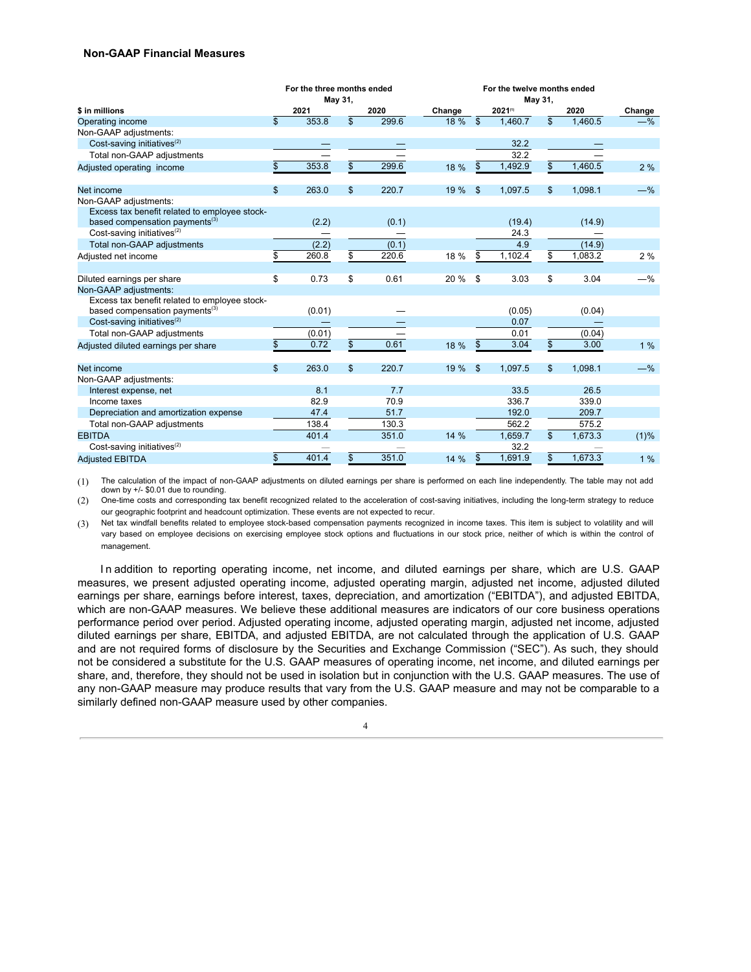## **Non-GAAP Financial Measures**

|                                                                                             |                | For the three months ended<br>May 31, |                 |       | For the twelve months ended<br>May 31, |                         |         |                 |         |         |
|---------------------------------------------------------------------------------------------|----------------|---------------------------------------|-----------------|-------|----------------------------------------|-------------------------|---------|-----------------|---------|---------|
| \$ in millions                                                                              |                | 2021                                  |                 | 2020  | Change                                 |                         | 2021(1) |                 | 2020    | Change  |
| Operating income                                                                            | $\mathfrak{L}$ | 353.8                                 | \$              | 299.6 | 18 %                                   | $\overline{\mathbb{S}}$ | 1.460.7 | $\mathbb{S}$    | 1.460.5 | $-\%$   |
| Non-GAAP adjustments:                                                                       |                |                                       |                 |       |                                        |                         |         |                 |         |         |
| Cost-saving initiatives <sup>(2)</sup>                                                      |                |                                       |                 |       |                                        |                         | 32.2    |                 |         |         |
| Total non-GAAP adjustments                                                                  |                |                                       |                 |       |                                        |                         | 32.2    |                 |         |         |
| Adjusted operating income                                                                   | \$             | 353.8                                 | \$              | 299.6 | 18 %                                   | $\mathbb{S}$            | 1,492.9 | \$              | 1,460.5 | 2%      |
| Net income                                                                                  | \$             | 263.0                                 | \$              | 220.7 | 19 %                                   | \$                      | 1,097.5 | \$              | 1.098.1 | $-$ %   |
| Non-GAAP adjustments:                                                                       |                |                                       |                 |       |                                        |                         |         |                 |         |         |
| Excess tax benefit related to employee stock-                                               |                |                                       |                 |       |                                        |                         |         |                 |         |         |
| based compensation payments <sup>(3)</sup>                                                  |                | (2.2)                                 |                 | (0.1) |                                        |                         | (19.4)  |                 | (14.9)  |         |
| Cost-saving initiatives <sup>(2)</sup>                                                      |                |                                       |                 |       |                                        |                         | 24.3    |                 |         |         |
| Total non-GAAP adjustments                                                                  |                | (2.2)                                 |                 | (0.1) |                                        |                         | 4.9     |                 | (14.9)  |         |
| Adjusted net income                                                                         | \$             | 260.8                                 | $\overline{\$}$ | 220.6 | 18 %                                   | \$                      | 1,102.4 | \$              | 1,083.2 | 2%      |
|                                                                                             |                |                                       |                 |       |                                        |                         |         |                 |         |         |
| Diluted earnings per share                                                                  | \$             | 0.73                                  | \$              | 0.61  | 20 %                                   | \$                      | 3.03    | \$              | 3.04    | $-%$    |
| Non-GAAP adiustments:                                                                       |                |                                       |                 |       |                                        |                         |         |                 |         |         |
| Excess tax benefit related to employee stock-<br>based compensation payments <sup>(3)</sup> |                | (0.01)                                |                 |       |                                        |                         | (0.05)  |                 | (0.04)  |         |
| Cost-saving initiatives <sup>(2)</sup>                                                      |                |                                       |                 |       |                                        |                         | 0.07    |                 |         |         |
| Total non-GAAP adjustments                                                                  |                | (0.01)                                |                 |       |                                        |                         | 0.01    |                 | (0.04)  |         |
| Adjusted diluted earnings per share                                                         | \$             | 0.72                                  | \$              | 0.61  | 18 %                                   | \$                      | 3.04    | \$              | 3.00    | 1%      |
|                                                                                             |                |                                       |                 |       |                                        |                         |         |                 |         |         |
| Net income                                                                                  | \$             | 263.0                                 | \$              | 220.7 | 19 %                                   | \$                      | 1,097.5 | \$              | 1,098.1 | $-\%$   |
| Non-GAAP adjustments:                                                                       |                |                                       |                 |       |                                        |                         |         |                 |         |         |
| Interest expense, net                                                                       |                | 8.1                                   |                 | 7.7   |                                        |                         | 33.5    |                 | 26.5    |         |
| Income taxes                                                                                |                | 82.9                                  |                 | 70.9  |                                        |                         | 336.7   |                 | 339.0   |         |
| Depreciation and amortization expense                                                       |                | 47.4                                  |                 | 51.7  |                                        |                         | 192.0   |                 | 209.7   |         |
| Total non-GAAP adjustments                                                                  |                | 138.4                                 |                 | 130.3 |                                        |                         | 562.2   |                 | 575.2   |         |
| <b>EBITDA</b>                                                                               |                | 401.4                                 |                 | 351.0 | 14 %                                   |                         | 1,659.7 | $\mathbb{S}$    | 1,673.3 | $(1)\%$ |
| Cost-saving initiatives <sup>(2)</sup>                                                      |                |                                       |                 |       |                                        |                         | 32.2    |                 |         |         |
| <b>Adjusted EBITDA</b>                                                                      | \$             | 401.4                                 | $\overline{\$}$ | 351.0 | 14 %                                   | \$                      | 1,691.9 | $\overline{\$}$ | 1.673.3 | 1%      |

(1) The calculation of the impact of non-GAAP adjustments on diluted earnings per share is performed on each line independently. The table may not add down by +/- \$0.01 due to rounding.

(2) One-time costs and corresponding tax benefit recognized related to the acceleration of cost-saving initiatives, including the long-term strategy to reduce our geographic footprint and headcount optimization. These events are not expected to recur.

(3) Net tax windfall benefits related to employee stock-based compensation payments recognized in income taxes. This item is subject to volatility and will vary based on employee decisions on exercising employee stock options and fluctuations in our stock price, neither of which is within the control of management.

In addition to reporting operating income, net income, and diluted earnings per share, which are U.S. GAAP measures, we present adjusted operating income, adjusted operating margin, adjusted net income, adjusted diluted earnings per share, earnings before interest, taxes, depreciation, and amortization ("EBITDA"), and adjusted EBITDA, which are non-GAAP measures. We believe these additional measures are indicators of our core business operations performance period over period. Adjusted operating income, adjusted operating margin, adjusted net income, adjusted diluted earnings per share, EBITDA, and adjusted EBITDA, are not calculated through the application of U.S. GAAP and are not required forms of disclosure by the Securities and Exchange Commission ("SEC"). As such, they should not be considered a substitute for the U.S. GAAP measures of operating income, net income, and diluted earnings per share, and, therefore, they should not be used in isolation but in conjunction with the U.S. GAAP measures. The use of any non-GAAP measure may produce results that vary from the U.S. GAAP measure and may not be comparable to a similarly defined non-GAAP measure used by other companies.

4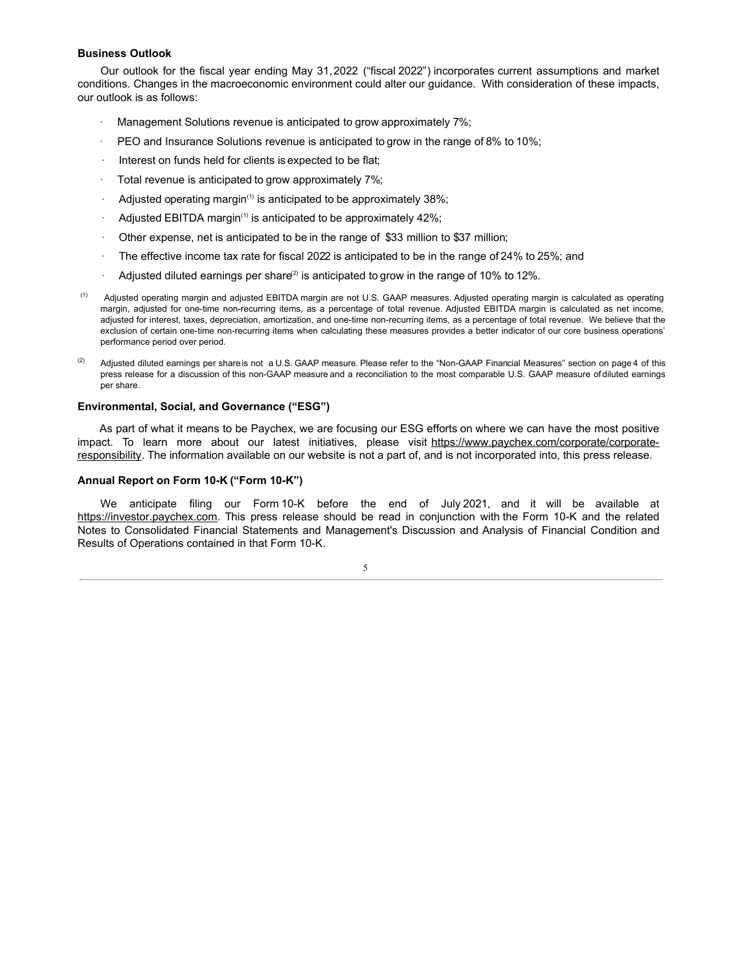## <span id="page-7-0"></span>**Business Outlook**

Our outlook for the fiscal year ending May 31,2022 ("fiscal 2022") incorporates current assumptions and market conditions. Changes in the macroeconomic environment could alter our guidance. With consideration of these impacts, our outlook is as follows:

- Management Solutions revenue is anticipated to grow approximately 7%;
- PEO and Insurance Solutions revenue is anticipated to grow in the range of 8% to 10%;
- Interest on funds held for clients is expected to be flat;
- Total revenue is anticipated to grow approximately 7%;
- $\cdot$  Adjusted operating margin<sup>(1)</sup> is anticipated to be approximately 38%;
- $\cdot$  Adjusted EBITDA margin<sup>(1)</sup> is anticipated to be approximately 42%;
- Other expense, net is anticipated to be in the range of \$33 million to \$37 million;
- The effective income tax rate for fiscal 2022 is anticipated to be in the range of 24% to 25%; and
- Adjusted diluted earnings per share<sup>2)</sup> is anticipated to grow in the range of 10% to 12%.
- (1) Adjusted operating margin and adjusted EBITDA margin are not U.S. GAAP measures. Adjusted operating margin is calculated as operating margin, adjusted for one-time non-recurring items, as a percentage of total revenue. Adjusted EBITDA margin is calculated as net income, adjusted for interest, taxes, depreciation, amortization, and one-time non-recurring items, as a percentage of total revenue. We believe that the exclusion of certain one-time non-recurring items when calculating these measures provides a better indicator of our core business operations' performance period over period.
- $(2)$  Adjusted diluted earnings per shareis not a U.S. GAAP measure. Please refer to the "Non-GAAP Financial Measures" section on page 4 of this press release for a discussion of this non-GAAP measure and a reconciliation to the most comparable U.S. GAAP measure of diluted earnings per share.

#### **Environmental, Social, and Governance ("ESG")**

As part of what it means to be Paychex, we are focusing our ESG efforts on where we can have the most positive impact. To learn more about our latest initiatives, please visit https://www.paychex.com/corporate/corporateresponsibility. The information available on our website is not a part of, and is not incorporated into, this press release.

### **Annual Report on Form 10-K ("Form 10-K")**

We anticipate filing our Form 10-K before the end of July 2021, and it will be available at https://investor.paychex.com. This press release should be read in conjunction with the Form 10-K and the related Notes to Consolidated Financial Statements and Management's Discussion and Analysis of Financial Condition and Results of Operations contained in that Form 10-K.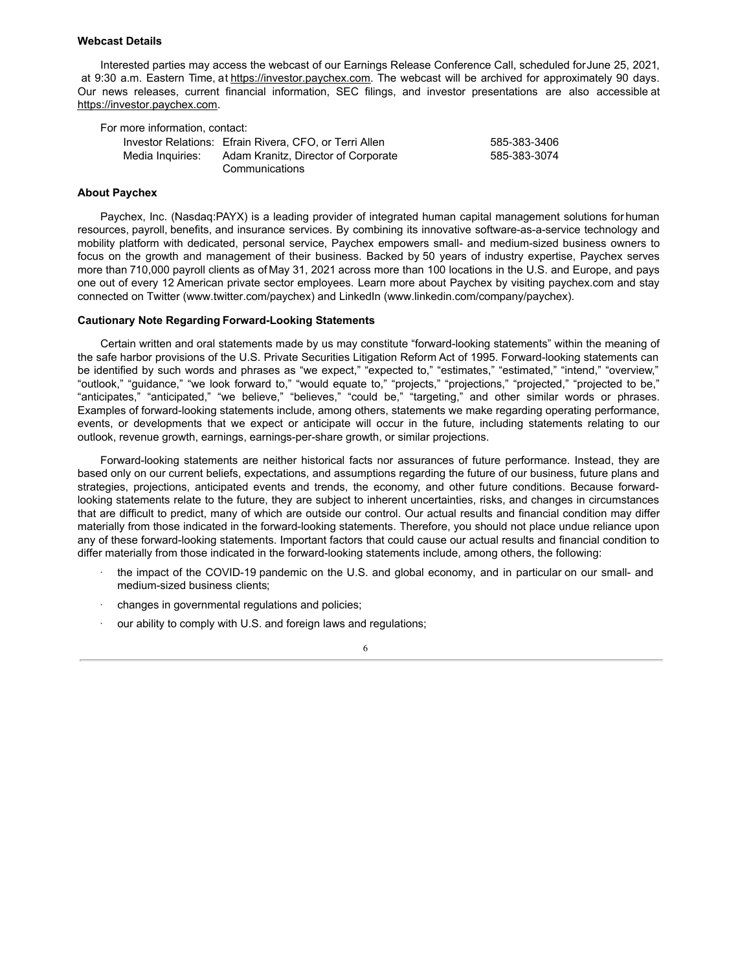#### **Webcast Details**

Interested parties may access the webcast of our Earnings Release Conference Call, scheduled forJune 25, 2021, at 9:30 a.m. Eastern Time, at https://investor.paychex.com. The webcast will be archived for approximately 90 days. Our news releases, current financial information, SEC filings, and investor presentations are also accessible at https://investor.paychex.com.

For more information, contact:

|                  | Investor Relations: Efrain Rivera, CFO, or Terri Allen | 585-383-3406 |
|------------------|--------------------------------------------------------|--------------|
| Media Inquiries: | Adam Kranitz, Director of Corporate                    | 585-383-3074 |
|                  | Communications                                         |              |

#### **About Paychex**

Paychex, Inc. (Nasdaq:PAYX) is a leading provider of integrated human capital management solutions for human resources, payroll, benefits, and insurance services. By combining its innovative software-as-a-service technology and mobility platform with dedicated, personal service, Paychex empowers small- and medium-sized business owners to focus on the growth and management of their business. Backed by 50 years of industry expertise, Paychex serves more than 710,000 payroll clients as of May 31, 2021 across more than 100 locations in the U.S. and Europe, and pays one out of every 12 American private sector employees. Learn more about Paychex by visiting paychex.com and stay connected on Twitter (www.twitter.com/paychex) and LinkedIn (www.linkedin.com/company/paychex).

#### **Cautionary Note Regarding Forward-Looking Statements**

Certain written and oral statements made by us may constitute "forward-looking statements" within the meaning of the safe harbor provisions of the U.S. Private Securities Litigation Reform Act of 1995. Forward-looking statements can be identified by such words and phrases as "we expect," "expected to," "estimates," "estimated," "intend," "overview," "outlook," "guidance," "we look forward to," "would equate to," "projects," "projections," "projected," "projected to be," "anticipates," "anticipated," "we believe," "believes," "could be," "targeting," and other similar words or phrases. Examples of forward-looking statements include, among others, statements we make regarding operating performance, events, or developments that we expect or anticipate will occur in the future, including statements relating to our outlook, revenue growth, earnings, earnings-per-share growth, or similar projections.

Forward-looking statements are neither historical facts nor assurances of future performance. Instead, they are based only on our current beliefs, expectations, and assumptions regarding the future of our business, future plans and strategies, projections, anticipated events and trends, the economy, and other future conditions. Because forwardlooking statements relate to the future, they are subject to inherent uncertainties, risks, and changes in circumstances that are difficult to predict, many of which are outside our control. Our actual results and financial condition may differ materially from those indicated in the forward-looking statements. Therefore, you should not place undue reliance upon any of these forward-looking statements. Important factors that could cause our actual results and financial condition to differ materially from those indicated in the forward-looking statements include, among others, the following:

- the impact of the COVID-19 pandemic on the U.S. and global economy, and in particular on our small- and medium-sized business clients;
- changes in governmental regulations and policies;
- our ability to comply with U.S. and foreign laws and regulations;

6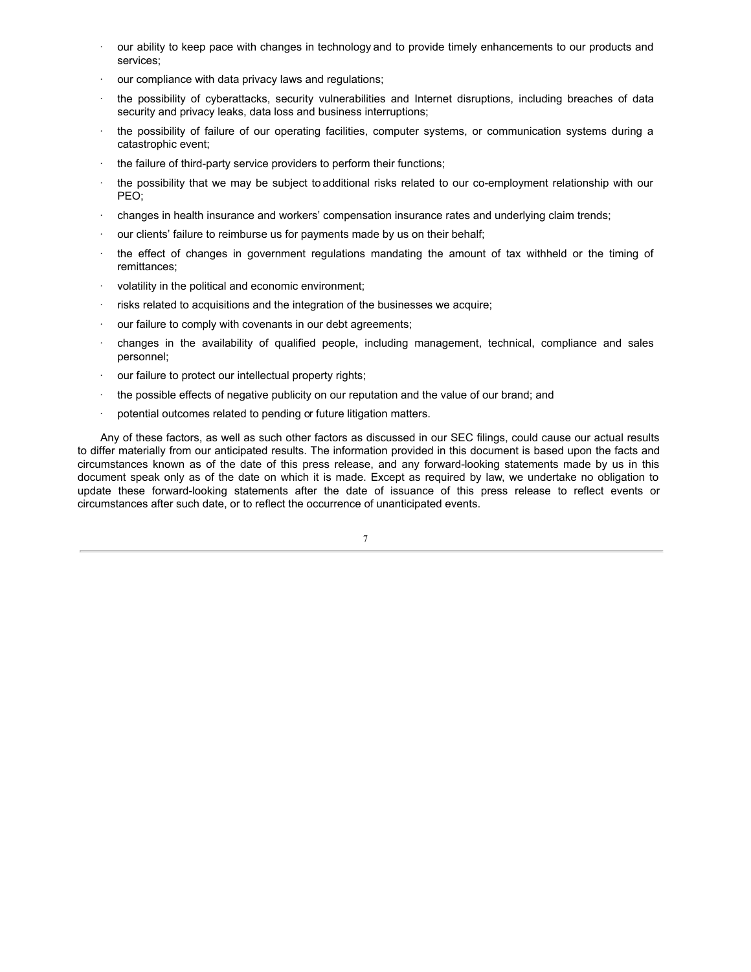- our ability to keep pace with changes in technology and to provide timely enhancements to our products and services;
- our compliance with data privacy laws and regulations;
- the possibility of cyberattacks, security vulnerabilities and Internet disruptions, including breaches of data security and privacy leaks, data loss and business interruptions;
- · the possibility of failure of our operating facilities, computer systems, or communication systems during a catastrophic event;
- the failure of third-party service providers to perform their functions;
- the possibility that we may be subject to additional risks related to our co-employment relationship with our PEO;
- · changes in health insurance and workers' compensation insurance rates and underlying claim trends;
- our clients' failure to reimburse us for payments made by us on their behalf;
- the effect of changes in government regulations mandating the amount of tax withheld or the timing of remittances;
- volatility in the political and economic environment;
- risks related to acquisitions and the integration of the businesses we acquire;
- our failure to comply with covenants in our debt agreements;
- · changes in the availability of qualified people, including management, technical, compliance and sales personnel;
- our failure to protect our intellectual property rights;
- · the possible effects of negative publicity on our reputation and the value of our brand; and
- potential outcomes related to pending or future litigation matters.

Any of these factors, as well as such other factors as discussed in our SEC filings, could cause our actual results to differ materially from our anticipated results. The information provided in this document is based upon the facts and circumstances known as of the date of this press release, and any forward-looking statements made by us in this document speak only as of the date on which it is made. Except as required by law, we undertake no obligation to update these forward-looking statements after the date of issuance of this press release to reflect events or circumstances after such date, or to reflect the occurrence of unanticipated events.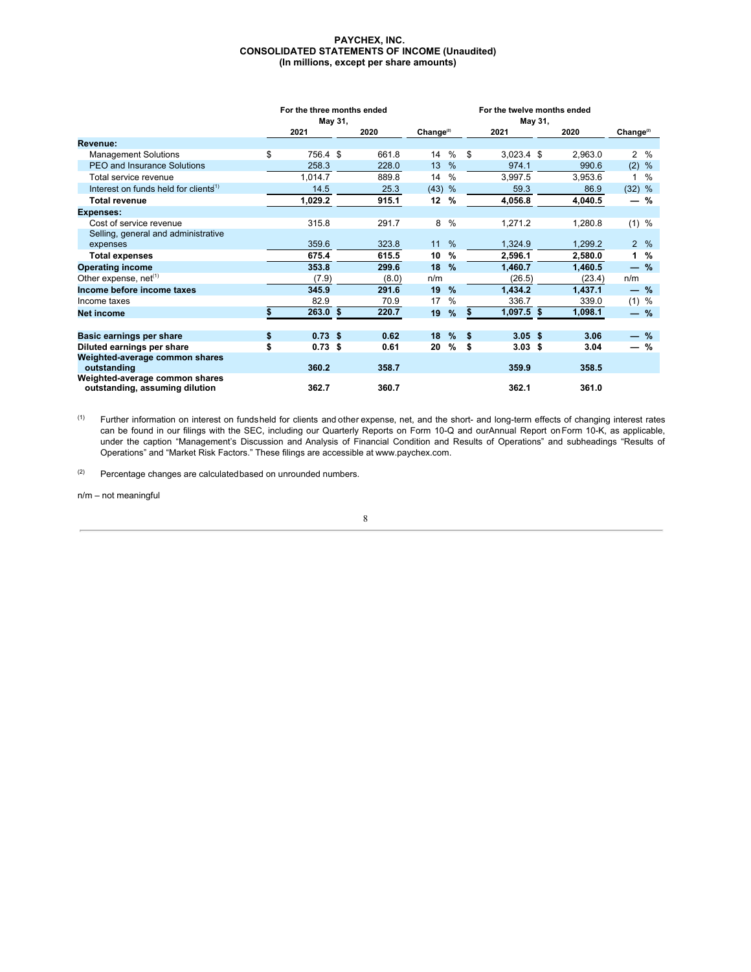#### **PAYCHEX, INC. CONSOLIDATED STATEMENTS OF INCOME (Unaudited) (In millions, except per share amounts)**

|                                                                  | For the three months ended<br>May 31, |            |  |       |                       |               |    |                   |  |         |                                           |
|------------------------------------------------------------------|---------------------------------------|------------|--|-------|-----------------------|---------------|----|-------------------|--|---------|-------------------------------------------|
|                                                                  |                                       | 2021       |  | 2020  | Change <sup>(2)</sup> |               |    | 2021              |  | 2020    | Change <sup>(2)</sup>                     |
| <b>Revenue:</b>                                                  |                                       |            |  |       |                       |               |    |                   |  |         |                                           |
| <b>Management Solutions</b>                                      | \$                                    | 756.4 \$   |  | 661.8 | 14                    | %             | \$ | $3,023.4$ \$      |  | 2,963.0 | $\frac{0}{0}$<br>2                        |
| PEO and Insurance Solutions                                      |                                       | 258.3      |  | 228.0 | 13                    | $\%$          |    | 974.1             |  | 990.6   | (2)<br>%                                  |
| Total service revenue                                            |                                       | 1,014.7    |  | 889.8 | 14                    | $\frac{0}{0}$ |    | 3,997.5           |  | 3,953.6 | $\%$<br>1                                 |
| Interest on funds held for clients <sup>1)</sup>                 |                                       | 14.5       |  | 25.3  | (43) %                |               |    | 59.3              |  | 86.9    | $(32)$ %                                  |
| <b>Total revenue</b>                                             |                                       | 1,029.2    |  | 915.1 | 12                    | $\frac{9}{6}$ |    | 4,056.8           |  | 4,040.5 | $\frac{9}{6}$<br>$\overline{\phantom{0}}$ |
| Expenses:                                                        |                                       |            |  |       |                       |               |    |                   |  |         |                                           |
| Cost of service revenue                                          |                                       | 315.8      |  | 291.7 | 8                     | $\%$          |    | 1,271.2           |  | 1,280.8 | $(1)$ %                                   |
| Selling, general and administrative                              |                                       |            |  |       |                       |               |    |                   |  |         |                                           |
| expenses                                                         |                                       | 359.6      |  | 323.8 | 11                    | $\%$          |    | 1,324.9           |  | 1,299.2 | $2\%$                                     |
| <b>Total expenses</b>                                            |                                       | 675.4      |  | 615.5 | 10                    | %             |    | 2,596.1           |  | 2.580.0 | %<br>1                                    |
| <b>Operating income</b>                                          |                                       | 353.8      |  | 299.6 | 18                    | %             |    | 1,460.7           |  | 1,460.5 | $\%$<br>$\overline{\phantom{0}}$          |
| Other expense, net <sup>(1)</sup>                                |                                       | (7.9)      |  | (8.0) | n/m                   |               |    | (26.5)            |  | (23.4)  | n/m                                       |
| Income before income taxes                                       |                                       | 345.9      |  | 291.6 | 19                    | %             |    | 1,434.2           |  | 1,437.1 | $-$ %                                     |
| Income taxes                                                     |                                       | 82.9       |  | 70.9  | 17                    | %             |    | 336.7             |  | 339.0   | $(1)$ %                                   |
| <b>Net income</b>                                                |                                       | $263.0$ \$ |  | 220.7 | 19                    | %             | s  | $1,097.5$ \$      |  | 1,098.1 | $\%$<br>$\qquad \qquad =$                 |
|                                                                  |                                       |            |  |       |                       |               |    |                   |  |         |                                           |
| Basic earnings per share                                         | \$                                    | $0.73$ \$  |  | 0.62  | 18                    | %             | \$ | 3.05 <sub>5</sub> |  | 3.06    | $\%$<br>$\overline{\phantom{0}}$          |
| Diluted earnings per share                                       | \$                                    | $0.73$ \$  |  | 0.61  | 20                    | %             | \$ | 3.03 <sup>5</sup> |  | 3.04    | %<br>$\overline{\phantom{0}}$             |
| Weighted-average common shares                                   |                                       |            |  |       |                       |               |    |                   |  |         |                                           |
| outstanding                                                      |                                       | 360.2      |  | 358.7 |                       |               |    | 359.9             |  | 358.5   |                                           |
| Weighted-average common shares<br>outstanding, assuming dilution |                                       | 362.7      |  | 360.7 |                       |               |    | 362.1             |  | 361.0   |                                           |

(1) Further information on interest on fundsheld for clients and other expense, net, and the short- and long-term effects of changing interest rates can be found in our filings with the SEC, including our Quarterly Reports on Form 10-Q and ourAnnual Report onForm 10-K, as applicable, under the caption "Management's Discussion and Analysis of Financial Condition and Results of Operations" and subheadings "Results of Operations" and "Market Risk Factors." These filings are accessible at www.paychex.com.

 $(2)$  Percentage changes are calculated based on unrounded numbers.

n/m – not meaningful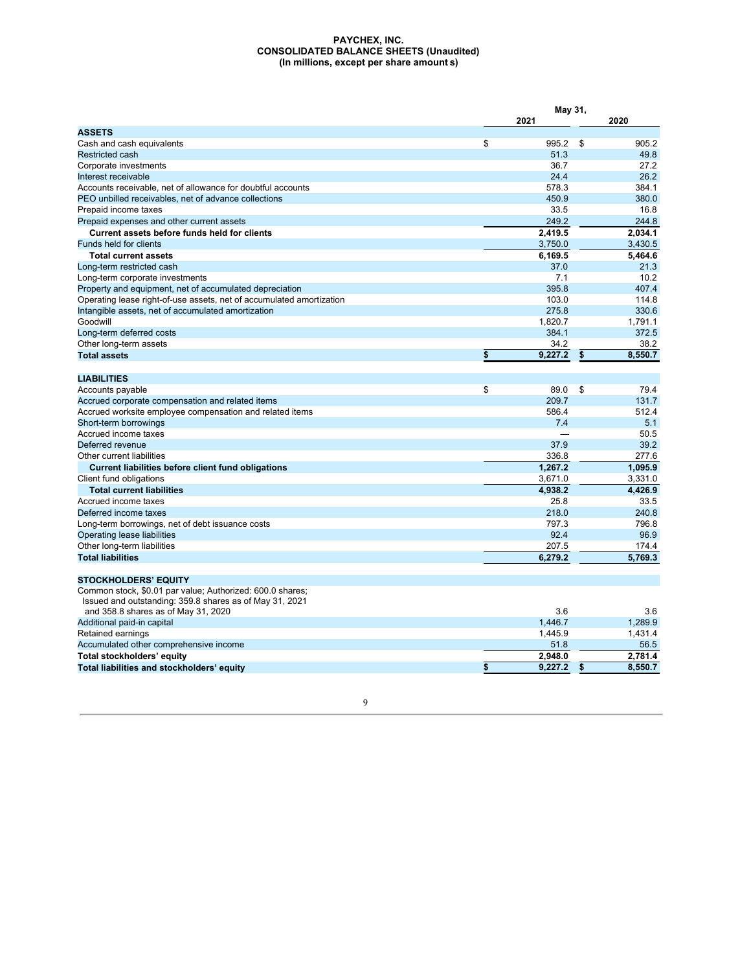#### **PAYCHEX, INC. CONSOLIDATED BALANCE SHEETS (Unaudited) (In millions, except per share amount s)**

|                                                                      |                         | May 31, |    |         |
|----------------------------------------------------------------------|-------------------------|---------|----|---------|
|                                                                      | 2021                    |         |    | 2020    |
| <b>ASSETS</b>                                                        |                         |         |    |         |
| Cash and cash equivalents                                            | \$                      | 995.2   | \$ | 905.2   |
| <b>Restricted cash</b>                                               |                         | 51.3    |    | 49.8    |
| Corporate investments                                                |                         | 36.7    |    | 27.2    |
| Interest receivable                                                  |                         | 24.4    |    | 26.2    |
| Accounts receivable, net of allowance for doubtful accounts          |                         | 578.3   |    | 384.1   |
| PEO unbilled receivables, net of advance collections                 |                         | 450.9   |    | 380.0   |
| Prepaid income taxes                                                 |                         | 33.5    |    | 16.8    |
| Prepaid expenses and other current assets                            |                         | 249.2   |    | 244.8   |
| Current assets before funds held for clients                         |                         | 2.419.5 |    | 2.034.1 |
| <b>Funds held for clients</b>                                        |                         | 3,750.0 |    | 3,430.5 |
| <b>Total current assets</b>                                          |                         | 6,169.5 |    | 5,464.6 |
| Long-term restricted cash                                            |                         | 37.0    |    | 21.3    |
| Long-term corporate investments                                      |                         | 7.1     |    | 10.2    |
| Property and equipment, net of accumulated depreciation              |                         | 395.8   |    | 407.4   |
| Operating lease right-of-use assets, net of accumulated amortization |                         | 103.0   |    | 114.8   |
| Intangible assets, net of accumulated amortization                   |                         | 275.8   |    | 330.6   |
| Goodwill                                                             |                         | 1,820.7 |    | 1.791.1 |
| Long-term deferred costs                                             |                         | 384.1   |    | 372.5   |
| Other long-term assets                                               |                         | 34.2    |    | 38.2    |
| <b>Total assets</b>                                                  | $\overline{\mathbf{s}}$ | 9,227.2 | \$ | 8.550.7 |
|                                                                      |                         |         |    |         |
| <b>LIABILITIES</b>                                                   |                         |         |    |         |
| Accounts payable                                                     | \$                      | 89.0    | \$ | 79.4    |
| Accrued corporate compensation and related items                     |                         | 209.7   |    | 131.7   |
| Accrued worksite employee compensation and related items             |                         | 586.4   |    | 512.4   |
| Short-term borrowings                                                |                         | 7.4     |    | 5.1     |
| Accrued income taxes                                                 |                         |         |    | 50.5    |
| Deferred revenue                                                     |                         | 37.9    |    | 39.2    |
| Other current liabilities                                            |                         | 336.8   |    | 277.6   |
| <b>Current liabilities before client fund obligations</b>            |                         | 1,267.2 |    | 1,095.9 |
| Client fund obligations                                              |                         | 3,671.0 |    | 3,331.0 |
| <b>Total current liabilities</b>                                     |                         | 4,938.2 |    | 4,426.9 |
| Accrued income taxes                                                 |                         | 25.8    |    | 33.5    |
| Deferred income taxes                                                |                         | 218.0   |    | 240.8   |
| Long-term borrowings, net of debt issuance costs                     |                         | 797.3   |    | 796.8   |
| Operating lease liabilities                                          |                         | 92.4    |    | 96.9    |
| Other long-term liabilities                                          |                         | 207.5   |    | 174.4   |
| <b>Total liabilities</b>                                             |                         | 6,279.2 |    | 5.769.3 |
|                                                                      |                         |         |    |         |
| <b>STOCKHOLDERS' EQUITY</b>                                          |                         |         |    |         |
| Common stock, \$0.01 par value; Authorized: 600.0 shares;            |                         |         |    |         |
| Issued and outstanding: 359.8 shares as of May 31, 2021              |                         |         |    |         |
| and 358.8 shares as of May 31, 2020                                  |                         | 3.6     |    | 3.6     |
| Additional paid-in capital                                           |                         | 1,446.7 |    | 1,289.9 |
| Retained earnings                                                    |                         | 1,445.9 |    | 1,431.4 |
| Accumulated other comprehensive income                               |                         | 51.8    |    | 56.5    |
| Total stockholders' equity                                           |                         | 2.948.0 |    | 2.781.4 |
| Total liabilities and stockholders' equity                           | \$                      | 9,227.2 | \$ | 8,550.7 |
|                                                                      |                         |         |    |         |

9